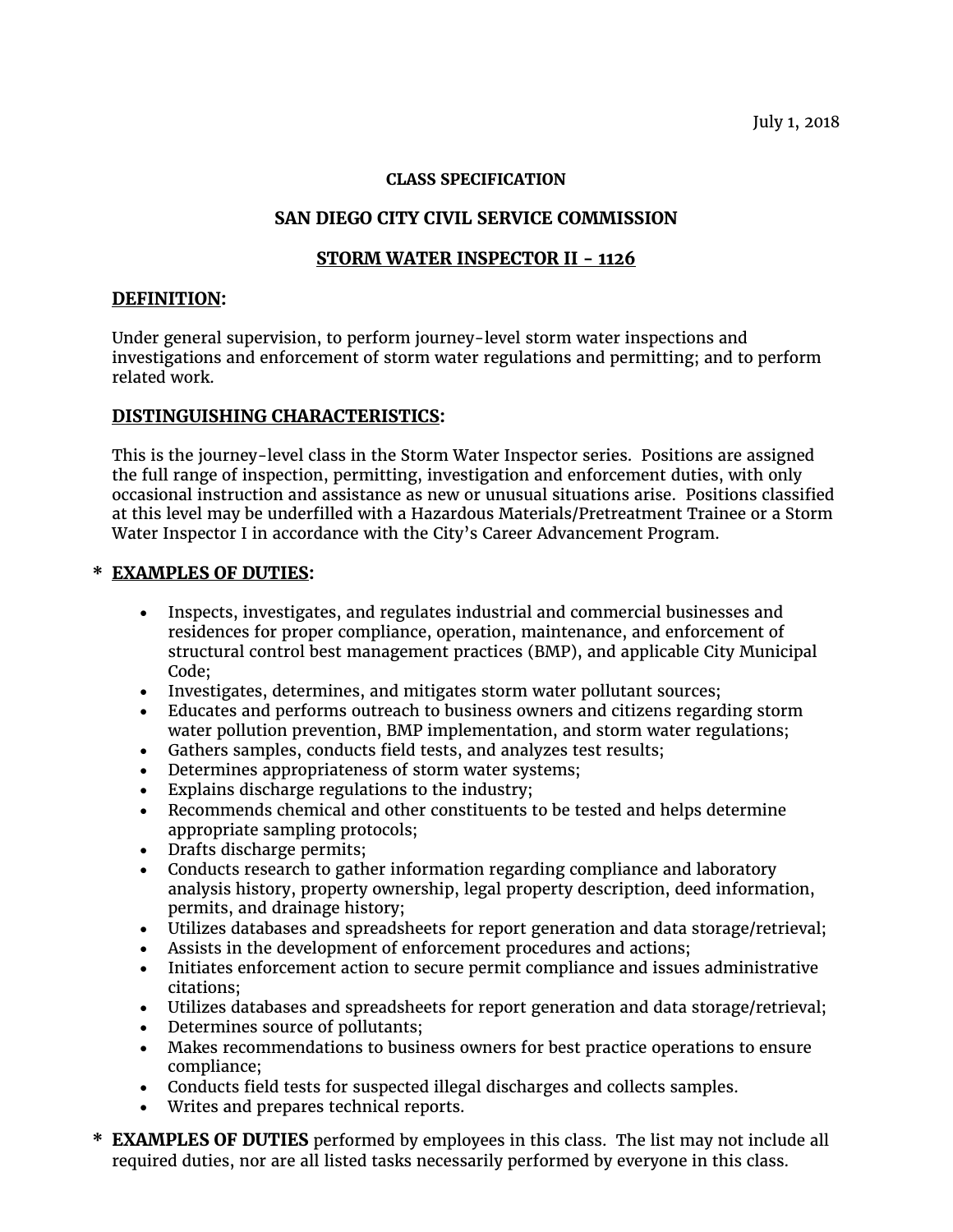### **CLASS SPECIFICATION**

# **SAN DIEGO CITY CIVIL SERVICE COMMISSION**

# **STORM WATER INSPECTOR II - 1126**

### **DEFINITION:**

Under general supervision, to perform journey-level storm water inspections and investigations and enforcement of storm water regulations and permitting; and to perform related work.

# **DISTINGUISHING CHARACTERISTICS:**

This is the journey-level class in the Storm Water Inspector series. Positions are assigned the full range of inspection, permitting, investigation and enforcement duties, with only occasional instruction and assistance as new or unusual situations arise. Positions classified at this level may be underfilled with a Hazardous Materials/Pretreatment Trainee or a Storm Water Inspector I in accordance with the City's Career Advancement Program.

# **\* EXAMPLES OF DUTIES:**

- Inspects, investigates, and regulates industrial and commercial businesses and residences for proper compliance, operation, maintenance, and enforcement of structural control best management practices (BMP), and applicable City Municipal Code;
- Investigates, determines, and mitigates storm water pollutant sources;
- Educates and performs outreach to business owners and citizens regarding storm water pollution prevention, BMP implementation, and storm water regulations;
- Gathers samples, conducts field tests, and analyzes test results;
- Determines appropriateness of storm water systems;
- Explains discharge regulations to the industry;
- Recommends chemical and other constituents to be tested and helps determine appropriate sampling protocols;
- Drafts discharge permits;
- Conducts research to gather information regarding compliance and laboratory analysis history, property ownership, legal property description, deed information, permits, and drainage history;
- Utilizes databases and spreadsheets for report generation and data storage/retrieval;
- Assists in the development of enforcement procedures and actions;
- Initiates enforcement action to secure permit compliance and issues administrative citations;
- Utilizes databases and spreadsheets for report generation and data storage/retrieval;
- Determines source of pollutants;
- Makes recommendations to business owners for best practice operations to ensure compliance;
- Conducts field tests for suspected illegal discharges and collects samples.
- Writes and prepares technical reports.
- **\* EXAMPLES OF DUTIES** performed by employees in this class. The list may not include all required duties, nor are all listed tasks necessarily performed by everyone in this class.